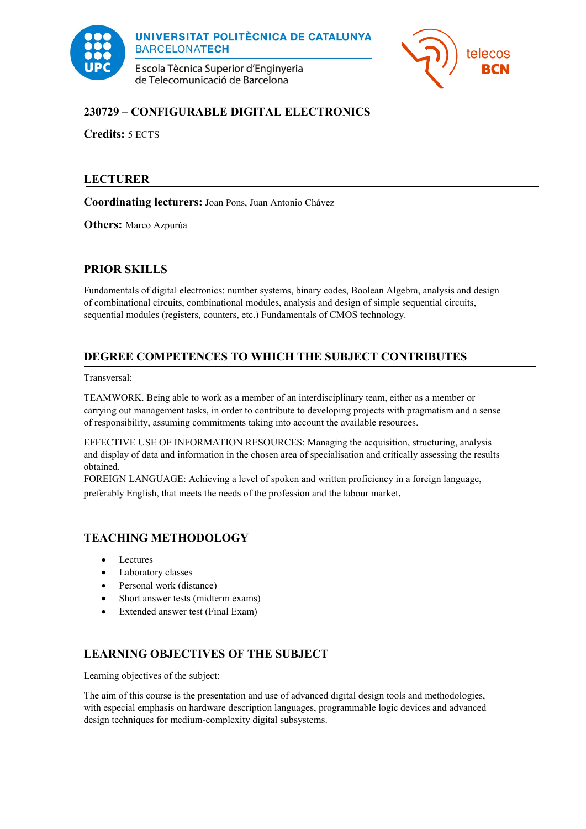

UNIVERSITAT POLITÈCNICA DE CATALUNYA **BARCELONATECH** 

E scola Tècnica Superior d'Enginyeria de Telecomunicació de Barcelona



#### **230729 – CONFIGURABLE DIGITAL ELECTRONICS**

**Credits:** 5 ECTS

## **LECTURER**

**Coordinating lecturers:** Joan Pons, Juan Antonio Chávez

**Others:** Marco Azpurúa

#### **PRIOR SKILLS**

Fundamentals of digital electronics: number systems, binary codes, Boolean Algebra, analysis and design of combinational circuits, combinational modules, analysis and design of simple sequential circuits, sequential modules (registers, counters, etc.) Fundamentals of CMOS technology.

# **DEGREE COMPETENCES TO WHICH THE SUBJECT CONTRIBUTES**

Transversal:

TEAMWORK. Being able to work as a member of an interdisciplinary team, either as a member or carrying out management tasks, in order to contribute to developing projects with pragmatism and a sense of responsibility, assuming commitments taking into account the available resources.

EFFECTIVE USE OF INFORMATION RESOURCES: Managing the acquisition, structuring, analysis and display of data and information in the chosen area of specialisation and critically assessing the results obtained.

FOREIGN LANGUAGE: Achieving a level of spoken and written proficiency in a foreign language, preferably English, that meets the needs of the profession and the labour market.

## **TEACHING METHODOLOGY**

- Lectures
- Laboratory classes
- Personal work (distance)
- Short answer tests (midterm exams)
- Extended answer test (Final Exam)

## **LEARNING OBJECTIVES OF THE SUBJECT**

Learning objectives of the subject:

The aim of this course is the presentation and use of advanced digital design tools and methodologies, with especial emphasis on hardware description languages, programmable logic devices and advanced design techniques for medium-complexity digital subsystems.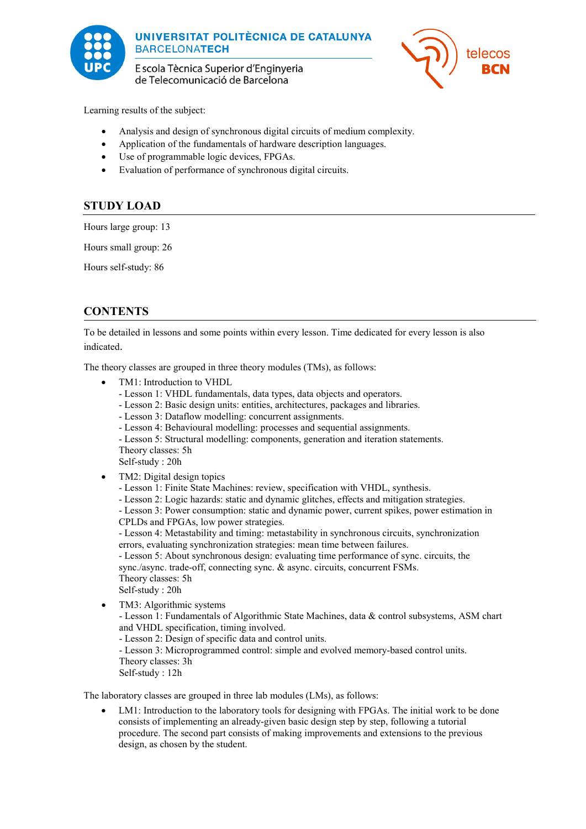

E scola Tècnica Superior d'Enginyeria de Telecomunicació de Barcelona



Learning results of the subject:

- Analysis and design of synchronous digital circuits of medium complexity.
- Application of the fundamentals of hardware description languages.
- Use of programmable logic devices, FPGAs.
- Evaluation of performance of synchronous digital circuits.

#### **STUDY LOAD**

Hours large group: 13

Hours small group: 26

Hours self-study: 86

## **CONTENTS**

To be detailed in lessons and some points within every lesson. Time dedicated for every lesson is also indicated.

The theory classes are grouped in three theory modules (TMs), as follows:

- TM1: Introduction to VHDL
	- Lesson 1: VHDL fundamentals, data types, data objects and operators.
	- Lesson 2: Basic design units: entities, architectures, packages and libraries.
	- Lesson 3: Dataflow modelling: concurrent assignments.
	- Lesson 4: Behavioural modelling: processes and sequential assignments.
	- Lesson 5: Structural modelling: components, generation and iteration statements. Theory classes: 5h

Self-study : 20h

- TM2: Digital design topics
	- Lesson 1: Finite State Machines: review, specification with VHDL, synthesis.
	- Lesson 2: Logic hazards: static and dynamic glitches, effects and mitigation strategies.

- Lesson 3: Power consumption: static and dynamic power, current spikes, power estimation in CPLDs and FPGAs, low power strategies.

- Lesson 4: Metastability and timing: metastability in synchronous circuits, synchronization errors, evaluating synchronization strategies: mean time between failures.

- Lesson 5: About synchronous design: evaluating time performance of sync. circuits, the sync./async. trade-off, connecting sync. & async. circuits, concurrent FSMs.

Theory classes: 5h

Self-study : 20h

• TM3: Algorithmic systems

- Lesson 1: Fundamentals of Algorithmic State Machines, data & control subsystems, ASM chart and VHDL specification, timing involved.

- Lesson 2: Design of specific data and control units.

- Lesson 3: Microprogrammed control: simple and evolved memory-based control units. Theory classes: 3h

Self-study : 12h

The laboratory classes are grouped in three lab modules (LMs), as follows:

LM1: Introduction to the laboratory tools for designing with FPGAs. The initial work to be done consists of implementing an already-given basic design step by step, following a tutorial procedure. The second part consists of making improvements and extensions to the previous design, as chosen by the student.